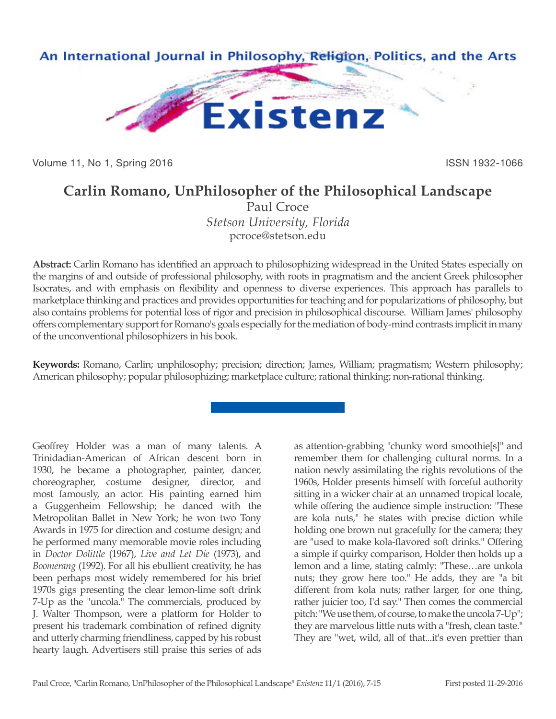

Volume 11, No 1, Spring 2016 **ISSN 1932-1066** ISSN 1932-1066

## **Carlin Romano, UnPhilosopher of the Philosophical Landscape**

Paul Croce *Stetson University, Florida* pcroce@stetson.edu

**Abstract:** Carlin Romano has identified an approach to philosophizing widespread in the United States especially on the margins of and outside of professional philosophy, with roots in pragmatism and the ancient Greek philosopher Isocrates, and with emphasis on flexibility and openness to diverse experiences. This approach has parallels to marketplace thinking and practices and provides opportunities for teaching and for popularizations of philosophy, but also contains problems for potential loss of rigor and precision in philosophical discourse. William James' philosophy offers complementary support for Romano's goals especially for the mediation of body-mind contrasts implicit in many of the unconventional philosophizers in his book.

**Keywords:** Romano, Carlin; unphilosophy; precision; direction; James, William; pragmatism; Western philosophy; American philosophy; popular philosophizing; marketplace culture; rational thinking; non-rational thinking.

Geoffrey Holder was a man of many talents. A Trinidadian-American of African descent born in 1930, he became a photographer, painter, dancer, choreographer, costume designer, director, and most famously, an actor. His painting earned him a Guggenheim Fellowship; he danced with the Metropolitan Ballet in New York; he won two Tony Awards in 1975 for direction and costume design; and he performed many memorable movie roles including in *Doctor Dolittle* (1967), *Live and Let Die* (1973), and *Boomerang* (1992). For all his ebullient creativity, he has been perhaps most widely remembered for his brief 1970s gigs presenting the clear lemon-lime soft drink 7-Up as the "uncola." The commercials, produced by J. Walter Thompson, were a platform for Holder to present his trademark combination of refined dignity and utterly charming friendliness, capped by his robust hearty laugh. Advertisers still praise this series of ads

as attention-grabbing "chunky word smoothie[s]" and remember them for challenging cultural norms. In a nation newly assimilating the rights revolutions of the 1960s, Holder presents himself with forceful authority sitting in a wicker chair at an unnamed tropical locale, while offering the audience simple instruction: "These are kola nuts," he states with precise diction while holding one brown nut gracefully for the camera; they are "used to make kola-flavored soft drinks." Offering a simple if quirky comparison, Holder then holds up a lemon and a lime, stating calmly: "These…are unkola nuts; they grow here too." He adds, they are "a bit different from kola nuts; rather larger, for one thing, rather juicier too, I'd say." Then comes the commercial pitch: "We use them, of course, to make the uncola 7-Up"; they are marvelous little nuts with a "fresh, clean taste." They are "wet, wild, all of that...it's even prettier than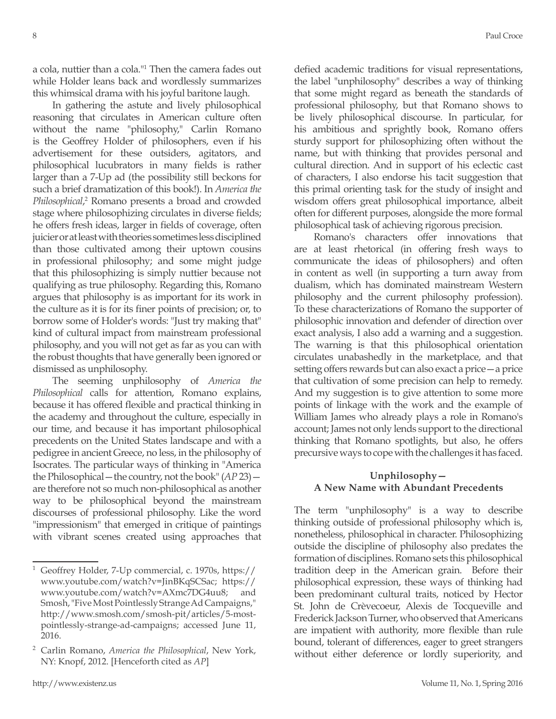a cola, nuttier than a cola."<sup>1</sup> Then the camera fades out while Holder leans back and wordlessly summarizes this whimsical drama with his joyful baritone laugh.

In gathering the astute and lively philosophical reasoning that circulates in American culture often without the name "philosophy," Carlin Romano is the Geoffrey Holder of philosophers, even if his advertisement for these outsiders, agitators, and philosophical lucubrators in many fields is rather larger than a 7-Up ad (the possibility still beckons for such a brief dramatization of this book!). In *America the*  Philosophical,<sup>2</sup> Romano presents a broad and crowded stage where philosophizing circulates in diverse fields; he offers fresh ideas, larger in fields of coverage, often juicier or at least with theories sometimes less disciplined than those cultivated among their uptown cousins in professional philosophy; and some might judge that this philosophizing is simply nuttier because not qualifying as true philosophy. Regarding this, Romano argues that philosophy is as important for its work in the culture as it is for its finer points of precision; or, to borrow some of Holder's words: "Just try making that" kind of cultural impact from mainstream professional philosophy, and you will not get as far as you can with the robust thoughts that have generally been ignored or dismissed as unphilosophy.

The seeming unphilosophy of *America the Philosophical* calls for attention, Romano explains, because it has offered flexible and practical thinking in the academy and throughout the culture, especially in our time, and because it has important philosophical precedents on the United States landscape and with a pedigree in ancient Greece, no less, in the philosophy of Isocrates. The particular ways of thinking in "America the Philosophical—the country, not the book" (*AP* 23) are therefore not so much non-philosophical as another way to be philosophical beyond the mainstream discourses of professional philosophy. Like the word "impressionism" that emerged in critique of paintings with vibrant scenes created using approaches that defied academic traditions for visual representations, the label "unphilosophy" describes a way of thinking that some might regard as beneath the standards of professional philosophy, but that Romano shows to be lively philosophical discourse. In particular, for his ambitious and sprightly book, Romano offers sturdy support for philosophizing often without the name, but with thinking that provides personal and cultural direction. And in support of his eclectic cast of characters, I also endorse his tacit suggestion that this primal orienting task for the study of insight and wisdom offers great philosophical importance, albeit often for different purposes, alongside the more formal philosophical task of achieving rigorous precision.

Romano's characters offer innovations that are at least rhetorical (in offering fresh ways to communicate the ideas of philosophers) and often in content as well (in supporting a turn away from dualism, which has dominated mainstream Western philosophy and the current philosophy profession). To these characterizations of Romano the supporter of philosophic innovation and defender of direction over exact analysis, I also add a warning and a suggestion. The warning is that this philosophical orientation circulates unabashedly in the marketplace, and that setting offers rewards but can also exact a price—a price that cultivation of some precision can help to remedy. And my suggestion is to give attention to some more points of linkage with the work and the example of William James who already plays a role in Romano's account; James not only lends support to the directional thinking that Romano spotlights, but also, he offers precursive ways to cope with the challenges it has faced.

## **Unphilosophy— A New Name with Abundant Precedents**

The term "unphilosophy" is a way to describe thinking outside of professional philosophy which is, nonetheless, philosophical in character. Philosophizing outside the discipline of philosophy also predates the formation of disciplines. Romano sets this philosophical tradition deep in the American grain. Before their philosophical expression, these ways of thinking had been predominant cultural traits, noticed by Hector St. John de Crèvecoeur, Alexis de Tocqueville and Frederick Jackson Turner, who observed that Americans are impatient with authority, more flexible than rule bound, tolerant of differences, eager to greet strangers without either deference or lordly superiority, and

<sup>1</sup> Geoffrey Holder, 7-Up commercial, c. 1970s, https:// www.youtube.com/watch?v=JinBKqSCSac; https:// www.youtube.com/watch?v=AXmc7DG4uu8; and Smosh, "Five Most Pointlessly Strange Ad Campaigns," http://www.smosh.com/smosh-pit/articles/5-mostpointlessly-strange-ad-campaigns; accessed June 11, 2016.

<sup>2</sup> Carlin Romano, *America the Philosophical*, New York, NY: Knopf, 2012. [Henceforth cited as *AP*]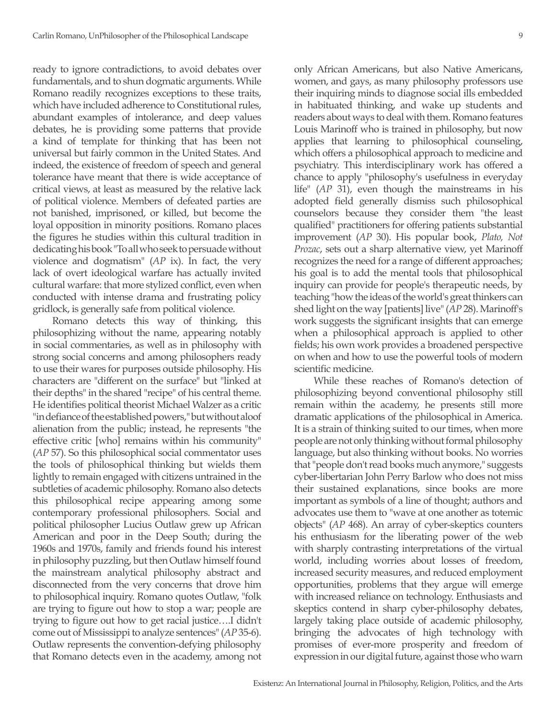ready to ignore contradictions, to avoid debates over fundamentals, and to shun dogmatic arguments. While Romano readily recognizes exceptions to these traits, which have included adherence to Constitutional rules, abundant examples of intolerance, and deep values debates, he is providing some patterns that provide a kind of template for thinking that has been not universal but fairly common in the United States. And indeed, the existence of freedom of speech and general tolerance have meant that there is wide acceptance of critical views, at least as measured by the relative lack of political violence. Members of defeated parties are not banished, imprisoned, or killed, but become the loyal opposition in minority positions. Romano places the figures he studies within this cultural tradition in dedicating his book "To all who seek to persuade without violence and dogmatism" (*AP* ix). In fact, the very lack of overt ideological warfare has actually invited cultural warfare: that more stylized conflict, even when conducted with intense drama and frustrating policy gridlock, is generally safe from political violence.

Romano detects this way of thinking, this philosophizing without the name, appearing notably in social commentaries, as well as in philosophy with strong social concerns and among philosophers ready to use their wares for purposes outside philosophy. His characters are "different on the surface" but "linked at their depths" in the shared "recipe" of his central theme. He identifies political theorist Michael Walzer as a critic "in defiance of the established powers," but without aloof alienation from the public; instead, he represents "the effective critic [who] remains within his community" (*AP* 57). So this philosophical social commentator uses the tools of philosophical thinking but wields them lightly to remain engaged with citizens untrained in the subtleties of academic philosophy. Romano also detects this philosophical recipe appearing among some contemporary professional philosophers. Social and political philosopher Lucius Outlaw grew up African American and poor in the Deep South; during the 1960s and 1970s, family and friends found his interest in philosophy puzzling, but then Outlaw himself found the mainstream analytical philosophy abstract and disconnected from the very concerns that drove him to philosophical inquiry. Romano quotes Outlaw, "folk are trying to figure out how to stop a war; people are trying to figure out how to get racial justice….I didn't come out of Mississippi to analyze sentences" (*AP* 35-6). Outlaw represents the convention-defying philosophy that Romano detects even in the academy, among not

only African Americans, but also Native Americans, women, and gays, as many philosophy professors use their inquiring minds to diagnose social ills embedded in habituated thinking, and wake up students and readers about ways to deal with them. Romano features Louis Marinoff who is trained in philosophy, but now applies that learning to philosophical counseling, which offers a philosophical approach to medicine and psychiatry. This interdisciplinary work has offered a chance to apply "philosophy's usefulness in everyday life" (*AP* 31), even though the mainstreams in his adopted field generally dismiss such philosophical counselors because they consider them "the least qualified" practitioners for offering patients substantial improvement (*AP* 30). His popular book, *Plato, Not Prozac*, sets out a sharp alternative view, yet Marinoff recognizes the need for a range of different approaches; his goal is to add the mental tools that philosophical inquiry can provide for people's therapeutic needs, by teaching "how the ideas of the world's great thinkers can shed light on the way [patients] live" (*AP* 28). Marinoff's work suggests the significant insights that can emerge when a philosophical approach is applied to other fields; his own work provides a broadened perspective on when and how to use the powerful tools of modern scientific medicine.

While these reaches of Romano's detection of philosophizing beyond conventional philosophy still remain within the academy, he presents still more dramatic applications of the philosophical in America. It is a strain of thinking suited to our times, when more people are not only thinking without formal philosophy language, but also thinking without books. No worries that "people don't read books much anymore," suggests cyber-libertarian John Perry Barlow who does not miss their sustained explanations, since books are more important as symbols of a line of thought; authors and advocates use them to "wave at one another as totemic objects" (*AP* 468). An array of cyber-skeptics counters his enthusiasm for the liberating power of the web with sharply contrasting interpretations of the virtual world, including worries about losses of freedom, increased security measures, and reduced employment opportunities, problems that they argue will emerge with increased reliance on technology. Enthusiasts and skeptics contend in sharp cyber-philosophy debates, largely taking place outside of academic philosophy, bringing the advocates of high technology with promises of ever-more prosperity and freedom of expression in our digital future, against those who warn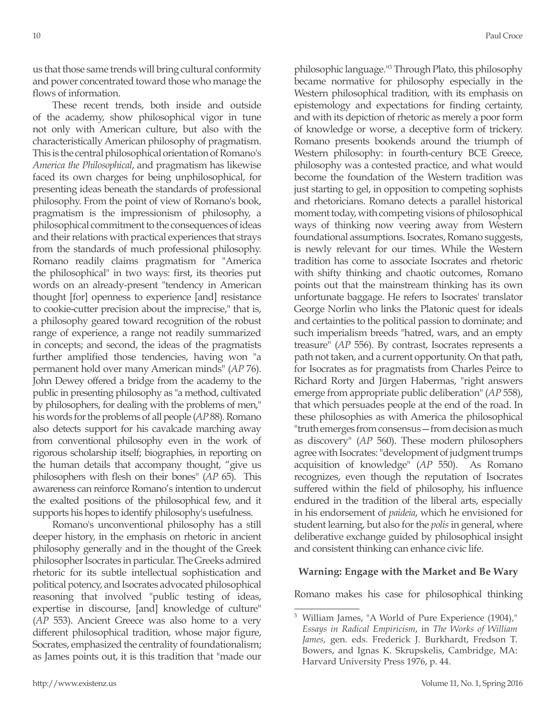us that those same trends will bring cultural conformity and power concentrated toward those who manage the flows of information.

These recent trends, both inside and outside of the academy, show philosophical vigor in tune not only with American culture, but also with the characteristically American philosophy of pragmatism. This is the central philosophical orientation of Romano's *America the Philosophical*, and pragmatism has likewise faced its own charges for being unphilosophical, for presenting ideas beneath the standards of professional philosophy. From the point of view of Romano's book, pragmatism is the impressionism of philosophy, a philosophical commitment to the consequences of ideas and their relations with practical experiences that strays from the standards of much professional philosophy. Romano readily claims pragmatism for "America the philosophical" in two ways: first, its theories put words on an already-present "tendency in American thought [for] openness to experience [and] resistance to cookie-cutter precision about the imprecise," that is, a philosophy geared toward recognition of the robust range of experience, a range not readily summarized in concepts; and second, the ideas of the pragmatists further amplified those tendencies, having won "a permanent hold over many American minds" (*AP* 76). John Dewey offered a bridge from the academy to the public in presenting philosophy as "a method, cultivated by philosophers, for dealing with the problems of men," his words for the problems of all people (*AP* 88). Romano also detects support for his cavalcade marching away from conventional philosophy even in the work of rigorous scholarship itself; biographies, in reporting on the human details that accompany thought, "give us philosophers with flesh on their bones" (*AP* 65). This awareness can reinforce Romano's intention to undercut the exalted positions of the philosophical few, and it supports his hopes to identify philosophy's usefulness.

Romano's unconventional philosophy has a still deeper history, in the emphasis on rhetoric in ancient philosophy generally and in the thought of the Greek philosopher Isocrates in particular. The Greeks admired rhetoric for its subtle intellectual sophistication and political potency, and Isocrates advocated philosophical reasoning that involved "public testing of ideas, expertise in discourse, [and] knowledge of culture" (*AP* 553). Ancient Greece was also home to a very different philosophical tradition, whose major figure, Socrates, emphasized the centrality of foundationalism; as James points out, it is this tradition that "made our philosophic language."<sup>3</sup> Through Plato, this philosophy became normative for philosophy especially in the Western philosophical tradition, with its emphasis on epistemology and expectations for finding certainty, and with its depiction of rhetoric as merely a poor form of knowledge or worse, a deceptive form of trickery. Romano presents bookends around the triumph of Western philosophy: in fourth-century BCE Greece, philosophy was a contested practice, and what would become the foundation of the Western tradition was just starting to gel, in opposition to competing sophists and rhetoricians. Romano detects a parallel historical moment today, with competing visions of philosophical ways of thinking now veering away from Western foundational assumptions. Isocrates, Romano suggests, is newly relevant for our times. While the Western tradition has come to associate Isocrates and rhetoric with shifty thinking and chaotic outcomes, Romano points out that the mainstream thinking has its own unfortunate baggage. He refers to Isocrates' translator George Norlin who links the Platonic quest for ideals and certainties to the political passion to dominate; and such imperialism breeds "hatred, wars, and an empty treasure" (*AP* 556). By contrast, Isocrates represents a path not taken, and a current opportunity. On that path, for Isocrates as for pragmatists from Charles Peirce to Richard Rorty and Jürgen Habermas, "right answers emerge from appropriate public deliberation" (*AP* 558), that which persuades people at the end of the road. In these philosophies as with America the philosophical "truth emerges from consensus—from decision as much as discovery" (*AP* 560). These modern philosophers agree with Isocrates: "development of judgment trumps acquisition of knowledge" (*AP* 550). As Romano recognizes, even though the reputation of Isocrates suffered within the field of philosophy, his influence endured in the tradition of the liberal arts, especially in his endorsement of *paideia*, which he envisioned for student learning, but also for the *polis* in general, where deliberative exchange guided by philosophical insight and consistent thinking can enhance civic life.

## **Warning: Engage with the Market and Be Wary**

Romano makes his case for philosophical thinking

<sup>3</sup> William James, "A World of Pure Experience (1904)," *Essays in Radical Empiricism*, in *The Works of William James*, gen. eds. Frederick J. Burkhardt, Fredson T. Bowers, and Ignas K. Skrupskelis, Cambridge, MA: Harvard University Press 1976, p. 44.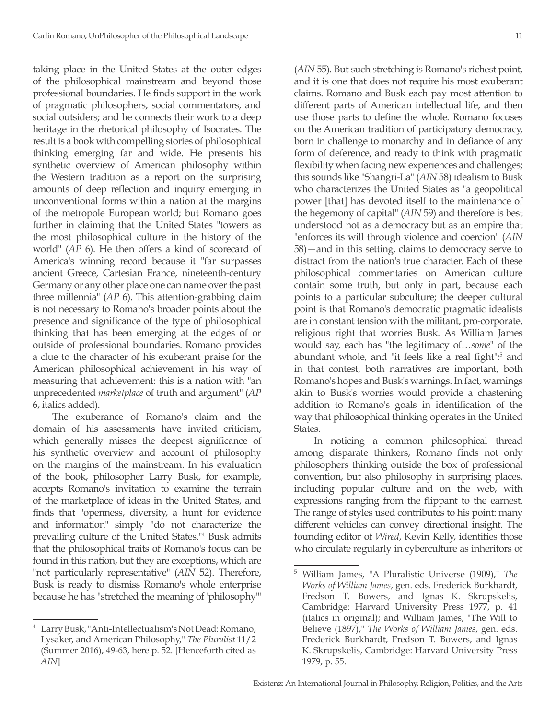taking place in the United States at the outer edges of the philosophical mainstream and beyond those professional boundaries. He finds support in the work of pragmatic philosophers, social commentators, and social outsiders; and he connects their work to a deep heritage in the rhetorical philosophy of Isocrates. The result is a book with compelling stories of philosophical thinking emerging far and wide. He presents his synthetic overview of American philosophy within the Western tradition as a report on the surprising amounts of deep reflection and inquiry emerging in unconventional forms within a nation at the margins of the metropole European world; but Romano goes further in claiming that the United States "towers as the most philosophical culture in the history of the world" (*AP* 6). He then offers a kind of scorecard of America's winning record because it "far surpasses ancient Greece, Cartesian France, nineteenth-century Germany or any other place one can name over the past three millennia" (*AP* 6). This attention-grabbing claim is not necessary to Romano's broader points about the presence and significance of the type of philosophical thinking that has been emerging at the edges of or outside of professional boundaries. Romano provides a clue to the character of his exuberant praise for the American philosophical achievement in his way of measuring that achievement: this is a nation with "an unprecedented *marketplace* of truth and argument" (*AP* 6, italics added).

The exuberance of Romano's claim and the domain of his assessments have invited criticism, which generally misses the deepest significance of his synthetic overview and account of philosophy on the margins of the mainstream. In his evaluation of the book, philosopher Larry Busk, for example, accepts Romano's invitation to examine the terrain of the marketplace of ideas in the United States, and finds that "openness, diversity, a hunt for evidence and information" simply "do not characterize the prevailing culture of the United States."4 Busk admits that the philosophical traits of Romano's focus can be found in this nation, but they are exceptions, which are "not particularly representative" (*AIN* 52). Therefore, Busk is ready to dismiss Romano's whole enterprise because he has "stretched the meaning of 'philosophy'"

(*AIN* 55). But such stretching is Romano's richest point, and it is one that does not require his most exuberant claims. Romano and Busk each pay most attention to different parts of American intellectual life, and then use those parts to define the whole. Romano focuses on the American tradition of participatory democracy, born in challenge to monarchy and in defiance of any form of deference, and ready to think with pragmatic flexibility when facing new experiences and challenges; this sounds like "Shangri-La" (*AIN* 58) idealism to Busk who characterizes the United States as "a geopolitical power [that] has devoted itself to the maintenance of the hegemony of capital" (*AIN* 59) and therefore is best understood not as a democracy but as an empire that "enforces its will through violence and coercion" (*AIN* 58)—and in this setting, claims to democracy serve to distract from the nation's true character. Each of these philosophical commentaries on American culture contain some truth, but only in part, because each points to a particular subculture; the deeper cultural point is that Romano's democratic pragmatic idealists are in constant tension with the militant, pro-corporate, religious right that worries Busk. As William James would say, each has "the legitimacy of…*some*" of the abundant whole, and "it feels like a real fight",<sup>5</sup> and in that contest, both narratives are important, both Romano's hopes and Busk's warnings. In fact, warnings akin to Busk's worries would provide a chastening addition to Romano's goals in identification of the way that philosophical thinking operates in the United States.

In noticing a common philosophical thread among disparate thinkers, Romano finds not only philosophers thinking outside the box of professional convention, but also philosophy in surprising places, including popular culture and on the web, with expressions ranging from the flippant to the earnest. The range of styles used contributes to his point: many different vehicles can convey directional insight. The founding editor of *Wired*, Kevin Kelly, identifies those who circulate regularly in cyberculture as inheritors of

<sup>4</sup> Larry Busk, "Anti-Intellectualism's Not Dead: Romano, Lysaker, and American Philosophy," *The Pluralist* 11/2 (Summer 2016), 49-63, here p. 52. [Henceforth cited as *AIN*]

<sup>5</sup> William James, "A Pluralistic Universe (1909)," *The Works of William James*, gen. eds. Frederick Burkhardt, Fredson T. Bowers, and Ignas K. Skrupskelis, Cambridge: Harvard University Press 1977, p. 41 (italics in original); and William James, "The Will to Believe (1897)," *The Works of William James*, gen. eds. Frederick Burkhardt, Fredson T. Bowers, and Ignas K. Skrupskelis, Cambridge: Harvard University Press 1979, p. 55.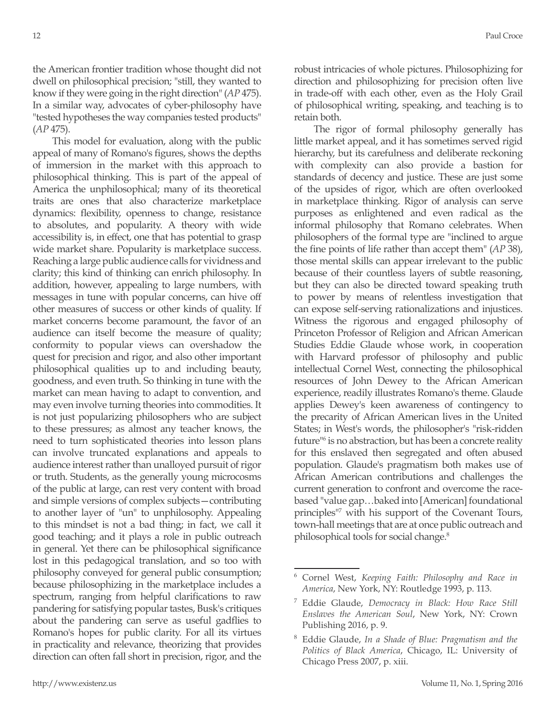the American frontier tradition whose thought did not dwell on philosophical precision; "still, they wanted to know if they were going in the right direction" (*AP* 475). In a similar way, advocates of cyber-philosophy have "tested hypotheses the way companies tested products" (*AP* 475).

This model for evaluation, along with the public appeal of many of Romano's figures, shows the depths of immersion in the market with this approach to philosophical thinking. This is part of the appeal of America the unphilosophical; many of its theoretical traits are ones that also characterize marketplace dynamics: flexibility, openness to change, resistance to absolutes, and popularity. A theory with wide accessibility is, in effect, one that has potential to grasp wide market share. Popularity is marketplace success. Reaching a large public audience calls for vividness and clarity; this kind of thinking can enrich philosophy. In addition, however, appealing to large numbers, with messages in tune with popular concerns, can hive off other measures of success or other kinds of quality. If market concerns become paramount, the favor of an audience can itself become the measure of quality; conformity to popular views can overshadow the quest for precision and rigor, and also other important philosophical qualities up to and including beauty, goodness, and even truth. So thinking in tune with the market can mean having to adapt to convention, and may even involve turning theories into commodities. It is not just popularizing philosophers who are subject to these pressures; as almost any teacher knows, the need to turn sophisticated theories into lesson plans can involve truncated explanations and appeals to audience interest rather than unalloyed pursuit of rigor or truth. Students, as the generally young microcosms of the public at large, can rest very content with broad and simple versions of complex subjects—contributing to another layer of "un" to unphilosophy. Appealing to this mindset is not a bad thing; in fact, we call it good teaching; and it plays a role in public outreach in general. Yet there can be philosophical significance lost in this pedagogical translation, and so too with philosophy conveyed for general public consumption; because philosophizing in the marketplace includes a spectrum, ranging from helpful clarifications to raw pandering for satisfying popular tastes, Busk's critiques about the pandering can serve as useful gadflies to Romano's hopes for public clarity. For all its virtues in practicality and relevance, theorizing that provides direction can often fall short in precision, rigor, and the

robust intricacies of whole pictures. Philosophizing for direction and philosophizing for precision often live in trade-off with each other, even as the Holy Grail of philosophical writing, speaking, and teaching is to retain both.

The rigor of formal philosophy generally has little market appeal, and it has sometimes served rigid hierarchy, but its carefulness and deliberate reckoning with complexity can also provide a bastion for standards of decency and justice. These are just some of the upsides of rigor, which are often overlooked in marketplace thinking. Rigor of analysis can serve purposes as enlightened and even radical as the informal philosophy that Romano celebrates. When philosophers of the formal type are "inclined to argue the fine points of life rather than accept them" (*AP* 38), those mental skills can appear irrelevant to the public because of their countless layers of subtle reasoning, but they can also be directed toward speaking truth to power by means of relentless investigation that can expose self-serving rationalizations and injustices. Witness the rigorous and engaged philosophy of Princeton Professor of Religion and African American Studies Eddie Glaude whose work, in cooperation with Harvard professor of philosophy and public intellectual Cornel West, connecting the philosophical resources of John Dewey to the African American experience, readily illustrates Romano's theme. Glaude applies Dewey's keen awareness of contingency to the precarity of African American lives in the United States; in West's words, the philosopher's "risk-ridden future<sup>16</sup> is no abstraction, but has been a concrete reality for this enslaved then segregated and often abused population. Glaude's pragmatism both makes use of African American contributions and challenges the current generation to confront and overcome the racebased "value gap…baked into [American] foundational principles"7 with his support of the Covenant Tours, town-hall meetings that are at once public outreach and philosophical tools for social change.<sup>8</sup>

<sup>6</sup> Cornel West, *Keeping Faith: Philosophy and Race in America*, New York, NY: Routledge 1993, p. 113.

<sup>7</sup> Eddie Glaude, *Democracy in Black: How Race Still Enslaves the American Soul*, New York, NY: Crown Publishing 2016, p. 9.

<sup>8</sup> Eddie Glaude, *In a Shade of Blue: Pragmatism and the Politics of Black America*, Chicago, IL: University of Chicago Press 2007, p. xiii.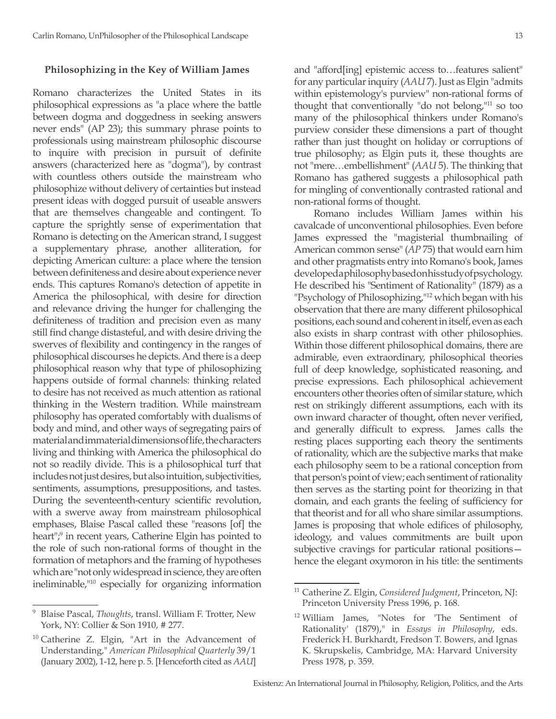## **Philosophizing in the Key of William James**

Romano characterizes the United States in its philosophical expressions as "a place where the battle between dogma and doggedness in seeking answers never ends" (AP 23); this summary phrase points to professionals using mainstream philosophic discourse to inquire with precision in pursuit of definite answers (characterized here as "dogma"), by contrast with countless others outside the mainstream who philosophize without delivery of certainties but instead present ideas with dogged pursuit of useable answers that are themselves changeable and contingent. To capture the sprightly sense of experimentation that Romano is detecting on the American strand, I suggest a supplementary phrase, another alliteration, for depicting American culture: a place where the tension between definiteness and desire about experience never ends. This captures Romano's detection of appetite in America the philosophical, with desire for direction and relevance driving the hunger for challenging the definiteness of tradition and precision even as many still find change distasteful, and with desire driving the swerves of flexibility and contingency in the ranges of philosophical discourses he depicts. And there is a deep philosophical reason why that type of philosophizing happens outside of formal channels: thinking related to desire has not received as much attention as rational thinking in the Western tradition. While mainstream philosophy has operated comfortably with dualisms of body and mind, and other ways of segregating pairs of material and immaterial dimensions of life, the characters living and thinking with America the philosophical do not so readily divide. This is a philosophical turf that includes not just desires, but also intuition, subjectivities, sentiments, assumptions, presuppositions, and tastes. During the seventeenth-century scientific revolution, with a swerve away from mainstream philosophical emphases, Blaise Pascal called these "reasons [of] the heart";<sup>9</sup> in recent years, Catherine Elgin has pointed to the role of such non-rational forms of thought in the formation of metaphors and the framing of hypotheses which are "not only widespread in science, they are often ineliminable,"<sup>10</sup> especially for organizing information

and "afford[ing] epistemic access to…features salient" for any particular inquiry (*AAU* 7). Just as Elgin "admits within epistemology's purview" non-rational forms of thought that conventionally "do not belong,"11 so too many of the philosophical thinkers under Romano's purview consider these dimensions a part of thought rather than just thought on holiday or corruptions of true philosophy; as Elgin puts it, these thoughts are not "mere…embellishment" (*AAU* 5). The thinking that Romano has gathered suggests a philosophical path for mingling of conventionally contrasted rational and non-rational forms of thought.

Romano includes William James within his cavalcade of unconventional philosophies. Even before James expressed the "magisterial thumbnailing of American common sense" (*AP* 75) that would earn him and other pragmatists entry into Romano's book, James developed a philosophy based on his study of psychology. He described his "Sentiment of Rationality" (1879) as a "Psychology of Philosophizing,"<sup>12</sup> which began with his observation that there are many different philosophical positions, each sound and coherent in itself, even as each also exists in sharp contrast with other philosophies. Within those different philosophical domains, there are admirable, even extraordinary, philosophical theories full of deep knowledge, sophisticated reasoning, and precise expressions. Each philosophical achievement encounters other theories often of similar stature, which rest on strikingly different assumptions, each with its own inward character of thought, often never verified, and generally difficult to express. James calls the resting places supporting each theory the sentiments of rationality, which are the subjective marks that make each philosophy seem to be a rational conception from that person's point of view; each sentiment of rationality then serves as the starting point for theorizing in that domain, and each grants the feeling of sufficiency for that theorist and for all who share similar assumptions. James is proposing that whole edifices of philosophy, ideology, and values commitments are built upon subjective cravings for particular rational positions hence the elegant oxymoron in his title: the sentiments

<sup>9</sup> Blaise Pascal, *Thoughts*, transl. William F. Trotter, New York, NY: Collier & Son 1910, # 277.

 $10$  Catherine Z. Elgin, "Art in the Advancement of Understanding," *American Philosophical Quarterly* 39/1 (January 2002), 1-12, here p. 5. [Henceforth cited as *AAU*]

<sup>11</sup> Catherine Z. Elgin, *Considered Judgment*, Princeton, NJ: Princeton University Press 1996, p. 168.

<sup>12</sup> William James, "Notes for 'The Sentiment of Rationality' (1879)," in *Essays in Philosophy*, eds. Frederick H. Burkhardt, Fredson T. Bowers, and Ignas K. Skrupskelis, Cambridge, MA: Harvard University Press 1978, p. 359.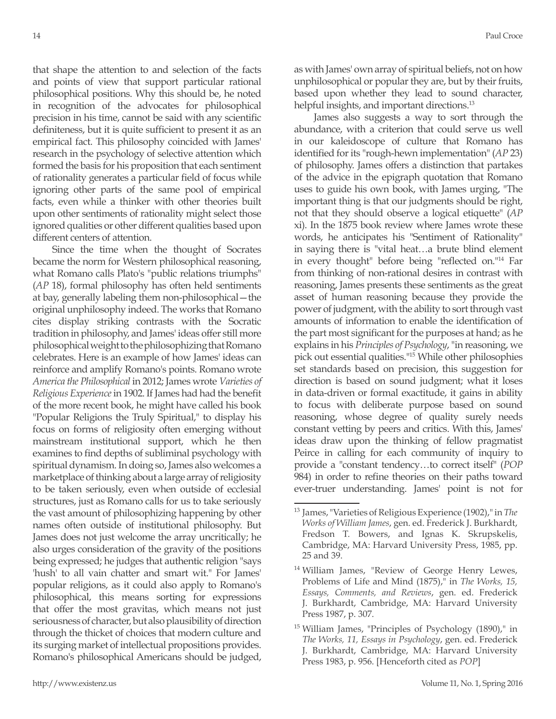that shape the attention to and selection of the facts and points of view that support particular rational philosophical positions. Why this should be, he noted in recognition of the advocates for philosophical precision in his time, cannot be said with any scientific definiteness, but it is quite sufficient to present it as an empirical fact. This philosophy coincided with James' research in the psychology of selective attention which formed the basis for his proposition that each sentiment of rationality generates a particular field of focus while ignoring other parts of the same pool of empirical facts, even while a thinker with other theories built upon other sentiments of rationality might select those ignored qualities or other different qualities based upon different centers of attention.

Since the time when the thought of Socrates became the norm for Western philosophical reasoning, what Romano calls Plato's "public relations triumphs" (*AP* 18), formal philosophy has often held sentiments at bay, generally labeling them non-philosophical—the original unphilosophy indeed. The works that Romano cites display striking contrasts with the Socratic tradition in philosophy, and James' ideas offer still more philosophical weight to the philosophizing that Romano celebrates. Here is an example of how James' ideas can reinforce and amplify Romano's points. Romano wrote *America the Philosophical* in 2012; James wrote *Varieties of Religious Experience* in 1902. If James had had the benefit of the more recent book, he might have called his book "Popular Religions the Truly Spiritual," to display his focus on forms of religiosity often emerging without mainstream institutional support, which he then examines to find depths of subliminal psychology with spiritual dynamism. In doing so, James also welcomes a marketplace of thinking about a large array of religiosity to be taken seriously, even when outside of ecclesial structures, just as Romano calls for us to take seriously the vast amount of philosophizing happening by other names often outside of institutional philosophy. But James does not just welcome the array uncritically; he also urges consideration of the gravity of the positions being expressed; he judges that authentic religion "says 'hush' to all vain chatter and smart wit." For James' popular religions, as it could also apply to Romano's philosophical, this means sorting for expressions that offer the most gravitas, which means not just seriousness of character, but also plausibility of direction through the thicket of choices that modern culture and its surging market of intellectual propositions provides. Romano's philosophical Americans should be judged,

as with James' own array of spiritual beliefs, not on how unphilosophical or popular they are, but by their fruits, based upon whether they lead to sound character, helpful insights, and important directions.<sup>13</sup>

James also suggests a way to sort through the abundance, with a criterion that could serve us well in our kaleidoscope of culture that Romano has identified for its "rough-hewn implementation" (*AP* 23) of philosophy. James offers a distinction that partakes of the advice in the epigraph quotation that Romano uses to guide his own book, with James urging, "The important thing is that our judgments should be right, not that they should observe a logical etiquette" (*AP*  xi). In the 1875 book review where James wrote these words, he anticipates his "Sentiment of Rationality" in saying there is "vital heat…a brute blind element in every thought" before being "reflected on."14 Far from thinking of non-rational desires in contrast with reasoning, James presents these sentiments as the great asset of human reasoning because they provide the power of judgment, with the ability to sort through vast amounts of information to enable the identification of the part most significant for the purposes at hand; as he explains in his *Principles of Psychology*, "in reasoning, we pick out essential qualities."15 While other philosophies set standards based on precision, this suggestion for direction is based on sound judgment; what it loses in data-driven or formal exactitude, it gains in ability to focus with deliberate purpose based on sound reasoning, whose degree of quality surely needs constant vetting by peers and critics. With this, James' ideas draw upon the thinking of fellow pragmatist Peirce in calling for each community of inquiry to provide a "constant tendency…to correct itself" (*POP* 984) in order to refine theories on their paths toward ever-truer understanding. James' point is not for

<sup>13</sup> James, "Varieties of Religious Experience (1902)," in *The Works of William James*, gen. ed. Frederick J. Burkhardt, Fredson T. Bowers, and Ignas K. Skrupskelis, Cambridge, MA: Harvard University Press, 1985, pp. 25 and 39.

<sup>14</sup> William James, "Review of George Henry Lewes, Problems of Life and Mind (1875)," in *The Works, 15, Essays, Comments, and Reviews*, gen. ed. Frederick J. Burkhardt, Cambridge, MA: Harvard University Press 1987, p. 307.

<sup>15</sup> William James, "Principles of Psychology (1890)," in *The Works, 11, Essays in Psychology*, gen. ed. Frederick J. Burkhardt, Cambridge, MA: Harvard University Press 1983, p. 956. [Henceforth cited as *POP*]